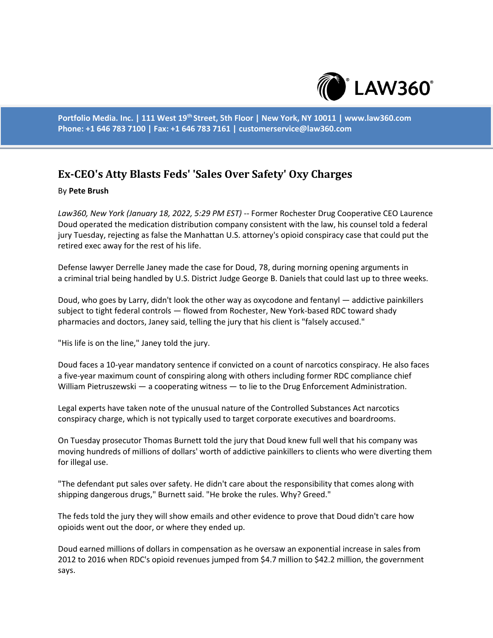

**Portfolio Media. Inc. | 111 West 19th Street, 5th Floor | New York, NY 10011 | www.law360.com Phone: +1 646 783 7100 | Fax: +1 646 783 7161 | customerservice@law360.com**

## **Ex-CEO's Atty Blasts Feds' 'Sales Over Safety' Oxy Charges**

## By **Pete Brush**

*Law360, New York (January 18, 2022, 5:29 PM EST)* -- Former Rochester Drug Cooperative CEO Laurence Doud operated the medication distribution company consistent with the law, his counsel told a federal jury Tuesday, rejecting as false the Manhattan U.S. attorney's opioid conspiracy case that could put the retired exec away for the rest of his life.

Defense lawyer Derrelle Janey made the case for Doud, 78, during morning opening arguments in a criminal trial being handled by U.S. District Judge George B. Daniels that could last up to three weeks.

Doud, who goes by Larry, didn't look the other way as oxycodone and fentanyl — addictive painkillers subject to tight federal controls — flowed from Rochester, New York-based RDC toward shady pharmacies and doctors, Janey said, telling the jury that his client is "falsely accused."

"His life is on the line," Janey told the jury.

Doud faces a 10-year mandatory sentence if convicted on a count of narcotics conspiracy. He also faces a five-year maximum count of conspiring along with others including former RDC compliance chief William Pietruszewski — a cooperating witness — to lie to the Drug Enforcement Administration.

Legal experts have taken note of the unusual nature of the Controlled Substances Act narcotics conspiracy charge, which is not typically used to target corporate executives and boardrooms.

On Tuesday prosecutor Thomas Burnett told the jury that Doud knew full well that his company was moving hundreds of millions of dollars' worth of addictive painkillers to clients who were diverting them for illegal use.

"The defendant put sales over safety. He didn't care about the responsibility that comes along with shipping dangerous drugs," Burnett said. "He broke the rules. Why? Greed."

The feds told the jury they will show emails and other evidence to prove that Doud didn't care how opioids went out the door, or where they ended up.

Doud earned millions of dollars in compensation as he oversaw an exponential increase in sales from 2012 to 2016 when RDC's opioid revenues jumped from \$4.7 million to \$42.2 million, the government says.